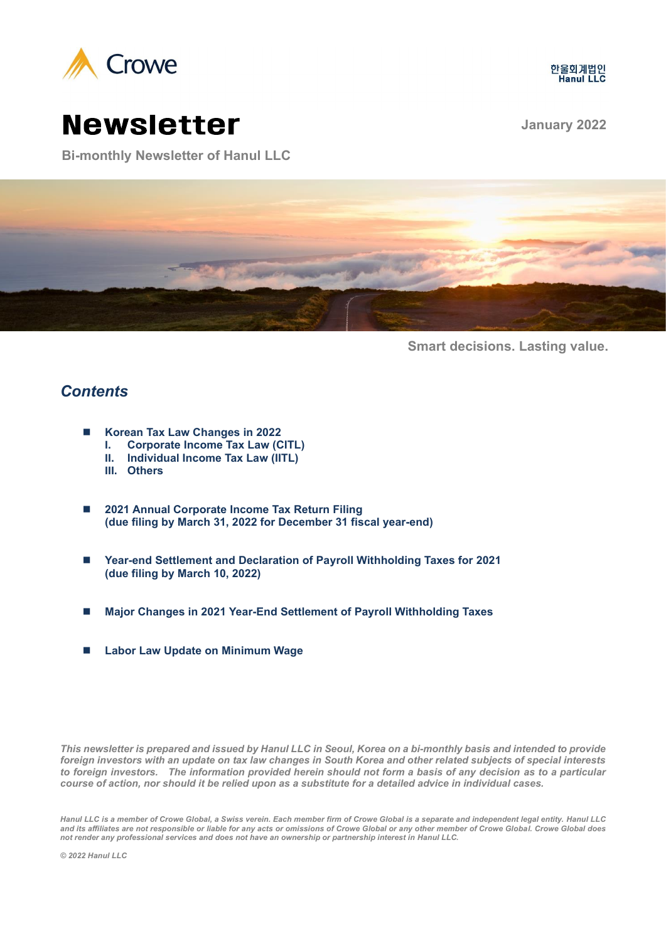



# Newsletter **January <sup>2022</sup>**

**Bi-monthly Newsletter of Hanul LLC**



**Smart decisions. Lasting value.**

# *Contents*

- Korean Tax Law Changes in 2022
	- **I. Corporate Income Tax Law (CITL)**
	- **II. Individual Income Tax Law (IITL)**
	- **III. Others**
- 2021 Annual Corporate Income Tax Return Filing **(due filing by March 31, 2022 for December 31 fiscal year-end)**
- Year-end Settlement and Declaration of Payroll Withholding Taxes for 2021 **(due filing by March 10, 2022)**
- ◼ **Major Changes in 2021 Year-End Settlement of Payroll Withholding Taxes**
- ◼ **Labor Law Update on Minimum Wage**

*This newsletter is prepared and issued by Hanul LLC in Seoul, Korea on a bi-monthly basis and intended to provide foreign investors with an update on tax law changes in South Korea and other related subjects of special interests to foreign investors. The information provided herein should not form a basis of any decision as to a particular course of action, nor should it be relied upon as a substitute for a detailed advice in individual cases.* 

*Hanul LLC is a member of Crowe Global, a Swiss verein. Each member firm of Crowe Global is a separate and independent legal entity. Hanul LLC and its affiliates are not responsible or liable for any acts or omissions of Crowe Global or any other member of Crowe Global. Crowe Global does not render any professional services and does not have an ownership or partnership interest in Hanul LLC.*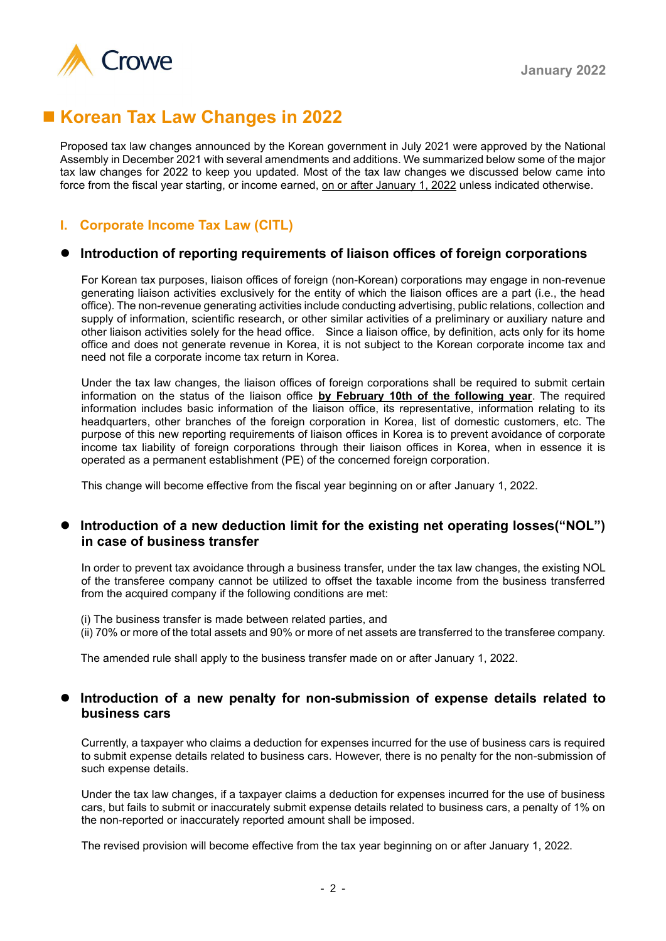

# ■ Korean Tax Law Changes in 2022

Proposed tax law changes announced by the Korean government in July 2021 were approved by the National Assembly in December 2021 with several amendments and additions. We summarized below some of the major tax law changes for 2022 to keep you updated. Most of the tax law changes we discussed below came into force from the fiscal year starting, or income earned, on or after January 1, 2022 unless indicated otherwise.

## **I. Corporate Income Tax Law (CITL)**

#### ⚫ **Introduction of reporting requirements of liaison offices of foreign corporations**

For Korean tax purposes, liaison offices of foreign (non-Korean) corporations may engage in non-revenue generating liaison activities exclusively for the entity of which the liaison offices are a part (i.e., the head office). The non-revenue generating activities include conducting advertising, public relations, collection and supply of information, scientific research, or other similar activities of a preliminary or auxiliary nature and other liaison activities solely for the head office. Since a liaison office, by definition, acts only for its home office and does not generate revenue in Korea, it is not subject to the Korean corporate income tax and need not file a corporate income tax return in Korea.

Under the tax law changes, the liaison offices of foreign corporations shall be required to submit certain information on the status of the liaison office **by February 10th of the following year**. The required information includes basic information of the liaison office, its representative, information relating to its headquarters, other branches of the foreign corporation in Korea, list of domestic customers, etc. The purpose of this new reporting requirements of liaison offices in Korea is to prevent avoidance of corporate income tax liability of foreign corporations through their liaison offices in Korea, when in essence it is operated as a permanent establishment (PE) of the concerned foreign corporation.

This change will become effective from the fiscal year beginning on or after January 1, 2022.

#### Introduction of a new deduction limit for the existing net operating losses("NOL") **in case of business transfer**

In order to prevent tax avoidance through a business transfer, under the tax law changes, the existing NOL of the transferee company cannot be utilized to offset the taxable income from the business transferred from the acquired company if the following conditions are met:

(i) The business transfer is made between related parties, and (ii) 70% or more of the total assets and 90% or more of net assets are transferred to the transferee company.

The amended rule shall apply to the business transfer made on or after January 1, 2022.

#### ⚫ **Introduction of a new penalty for non-submission of expense details related to business cars**

Currently, a taxpayer who claims a deduction for expenses incurred for the use of business cars is required to submit expense details related to business cars. However, there is no penalty for the non-submission of such expense details.

Under the tax law changes, if a taxpayer claims a deduction for expenses incurred for the use of business cars, but fails to submit or inaccurately submit expense details related to business cars, a penalty of 1% on the non-reported or inaccurately reported amount shall be imposed.

The revised provision will become effective from the tax year beginning on or after January 1, 2022.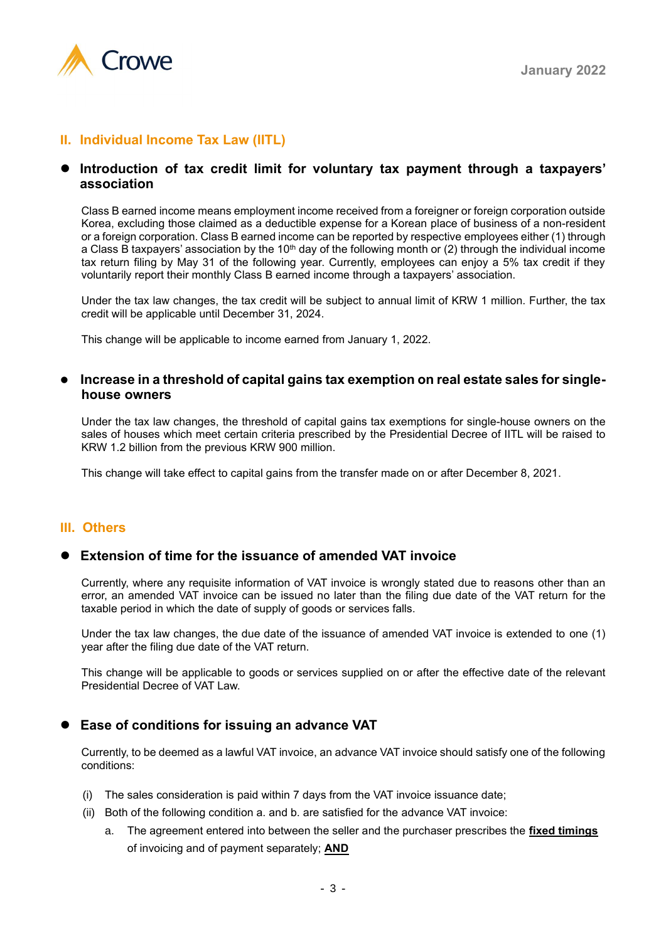

## **II. Individual Income Tax Law (IITL)**

#### ⚫ **Introduction of tax credit limit for voluntary tax payment through a taxpayers' association**

Class B earned income means employment income received from a foreigner or foreign corporation outside Korea, excluding those claimed as a deductible expense for a Korean place of business of a non-resident or a foreign corporation. Class B earned income can be reported by respective employees either (1) through a Class B taxpayers' association by the 10<sup>th</sup> day of the following month or (2) through the individual income tax return filing by May 31 of the following year. Currently, employees can enjoy a 5% tax credit if they voluntarily report their monthly Class B earned income through a taxpayers' association.

Under the tax law changes, the tax credit will be subject to annual limit of KRW 1 million. Further, the tax credit will be applicable until December 31, 2024.

This change will be applicable to income earned from January 1, 2022.

#### ⚫ **Increase in a threshold of capital gains tax exemption on real estate sales for singlehouse owners**

Under the tax law changes, the threshold of capital gains tax exemptions for single-house owners on the sales of houses which meet certain criteria prescribed by the Presidential Decree of IITL will be raised to KRW 1.2 billion from the previous KRW 900 million.

This change will take effect to capital gains from the transfer made on or after December 8, 2021.

#### **III. Others**

#### ⚫ **Extension of time for the issuance of amended VAT invoice**

Currently, where any requisite information of VAT invoice is wrongly stated due to reasons other than an error, an amended VAT invoice can be issued no later than the filing due date of the VAT return for the taxable period in which the date of supply of goods or services falls.

Under the tax law changes, the due date of the issuance of amended VAT invoice is extended to one (1) year after the filing due date of the VAT return.

This change will be applicable to goods or services supplied on or after the effective date of the relevant Presidential Decree of VAT Law.

### ⚫ **Ease of conditions for issuing an advance VAT**

Currently, to be deemed as a lawful VAT invoice, an advance VAT invoice should satisfy one of the following conditions:

- (i) The sales consideration is paid within 7 days from the VAT invoice issuance date;
- (ii) Both of the following condition a. and b. are satisfied for the advance VAT invoice:
	- a. The agreement entered into between the seller and the purchaser prescribes the **fixed timings** of invoicing and of payment separately; **AND**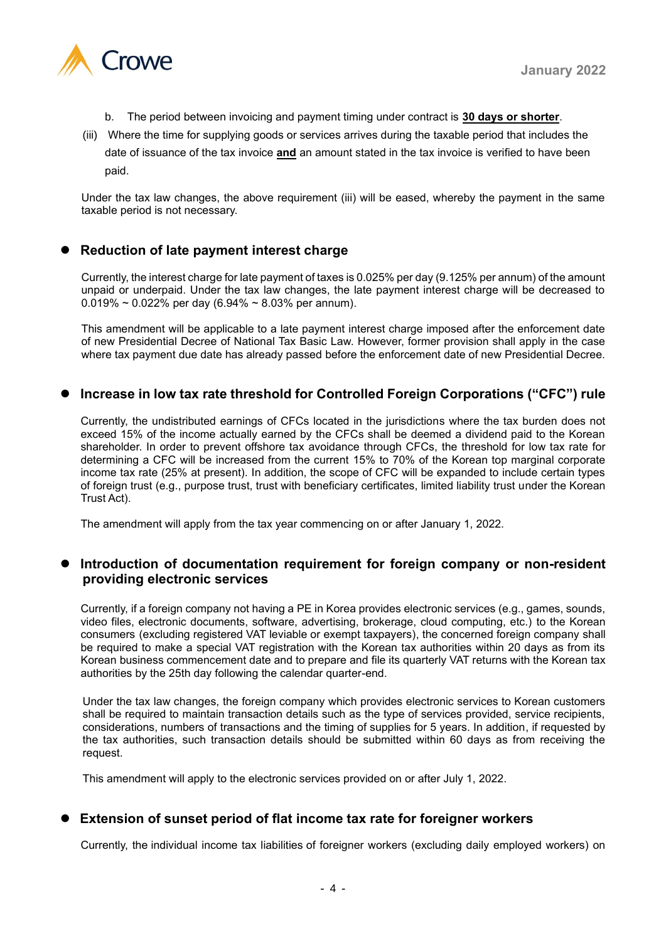

- b. The period between invoicing and payment timing under contract is **30 days or shorter**.
- (iii) Where the time for supplying goods or services arrives during the taxable period that includes the date of issuance of the tax invoice **and** an amount stated in the tax invoice is verified to have been paid.

Under the tax law changes, the above requirement (iii) will be eased, whereby the payment in the same taxable period is not necessary.

### ⚫ **Reduction of late payment interest charge**

Currently, the interest charge for late payment of taxes is 0.025% per day (9.125% per annum) of the amount unpaid or underpaid. Under the tax law changes, the late payment interest charge will be decreased to  $0.019\% \sim 0.022\%$  per day (6.94%  $\sim 8.03\%$  per annum).

This amendment will be applicable to a late payment interest charge imposed after the enforcement date of new Presidential Decree of National Tax Basic Law. However, former provision shall apply in the case where tax payment due date has already passed before the enforcement date of new Presidential Decree.

### ⚫ **Increase in low tax rate threshold for Controlled Foreign Corporations ("CFC") rule**

Currently, the undistributed earnings of CFCs located in the jurisdictions where the tax burden does not exceed 15% of the income actually earned by the CFCs shall be deemed a dividend paid to the Korean shareholder. In order to prevent offshore tax avoidance through CFCs, the threshold for low tax rate for determining a CFC will be increased from the current 15% to 70% of the Korean top marginal corporate income tax rate (25% at present). In addition, the scope of CFC will be expanded to include certain types of foreign trust (e.g., purpose trust, trust with beneficiary certificates, limited liability trust under the Korean Trust Act).

The amendment will apply from the tax year commencing on or after January 1, 2022.

#### ⚫ **Introduction of documentation requirement for foreign company or non-resident providing electronic services**

Currently, if a foreign company not having a PE in Korea provides electronic services (e.g., games, sounds, video files, electronic documents, software, advertising, brokerage, cloud computing, etc.) to the Korean consumers (excluding registered VAT leviable or exempt taxpayers), the concerned foreign company shall be required to make a special VAT registration with the Korean tax authorities within 20 days as from its Korean business commencement date and to prepare and file its quarterly VAT returns with the Korean tax authorities by the 25th day following the calendar quarter-end.

Under the tax law changes, the foreign company which provides electronic services to Korean customers shall be required to maintain transaction details such as the type of services provided, service recipients, considerations, numbers of transactions and the timing of supplies for 5 years. In addition, if requested by the tax authorities, such transaction details should be submitted within 60 days as from receiving the request.

This amendment will apply to the electronic services provided on or after July 1, 2022.

### ⚫ **Extension of sunset period of flat income tax rate for foreigner workers**

Currently, the individual income tax liabilities of foreigner workers (excluding daily employed workers) on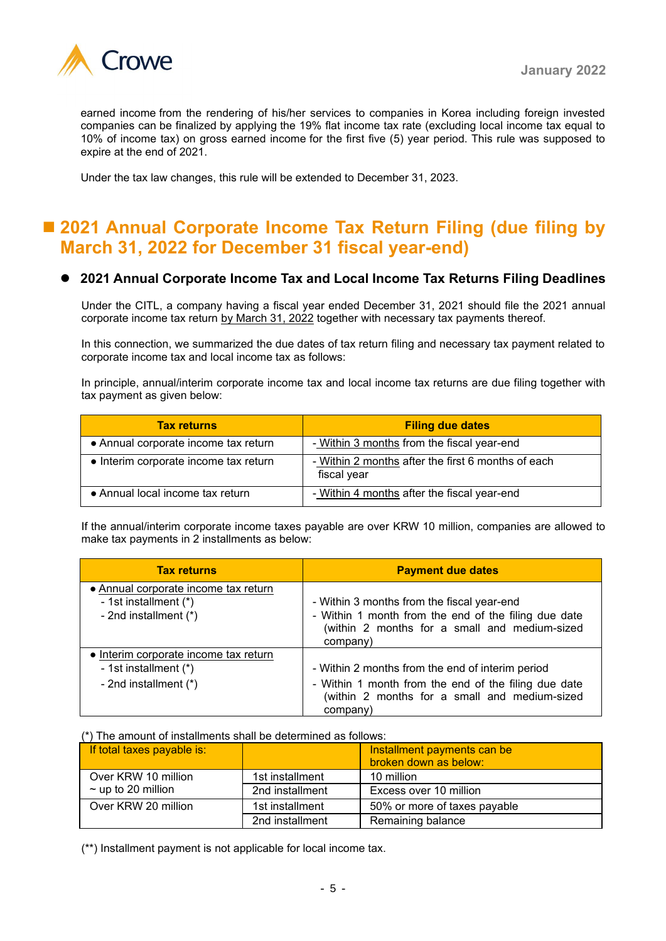

earned income from the rendering of his/her services to companies in Korea including foreign invested companies can be finalized by applying the 19% flat income tax rate (excluding local income tax equal to 10% of income tax) on gross earned income for the first five (5) year period. This rule was supposed to expire at the end of 2021.

Under the tax law changes, this rule will be extended to December 31, 2023.

# ■ 2021 Annual Corporate Income Tax Return Filing (due filing by **March 31, 2022 for December 31 fiscal year-end)**

#### ⚫ **2021 Annual Corporate Income Tax and Local Income Tax Returns Filing Deadlines**

Under the CITL, a company having a fiscal year ended December 31, 2021 should file the 2021 annual corporate income tax return by March 31, 2022 together with necessary tax payments thereof.

In this connection, we summarized the due dates of tax return filing and necessary tax payment related to corporate income tax and local income tax as follows:

In principle, annual/interim corporate income tax and local income tax returns are due filing together with tax payment as given below:

| <b>Tax returns</b>                    | <b>Filing due dates</b>                                           |
|---------------------------------------|-------------------------------------------------------------------|
| • Annual corporate income tax return  | - Within 3 months from the fiscal year-end                        |
| • Interim corporate income tax return | - Within 2 months after the first 6 months of each<br>fiscal year |
| • Annual local income tax return      | - Within 4 months after the fiscal year-end                       |

If the annual/interim corporate income taxes payable are over KRW 10 million, companies are allowed to make tax payments in 2 installments as below:

| <b>Tax returns</b>                                                                     | <b>Payment due dates</b>                                                                                                                                        |
|----------------------------------------------------------------------------------------|-----------------------------------------------------------------------------------------------------------------------------------------------------------------|
| • Annual corporate income tax return<br>- 1st installment (*)<br>- 2nd installment (*) | - Within 3 months from the fiscal year-end<br>- Within 1 month from the end of the filing due date<br>(within 2 months for a small and medium-sized<br>company) |
| • Interim corporate income tax return                                                  |                                                                                                                                                                 |
| - 1st installment (*)                                                                  | - Within 2 months from the end of interim period                                                                                                                |
| - 2nd installment (*)                                                                  | - Within 1 month from the end of the filing due date<br>(within 2 months for a small and medium-sized<br>company)                                               |

#### (\*) The amount of installments shall be determined as follows:

| If total taxes payable is: |                 | Installment payments can be<br>broken down as below: |
|----------------------------|-----------------|------------------------------------------------------|
| Over KRW 10 million        | 1st installment | 10 million                                           |
| $\sim$ up to 20 million    | 2nd installment | Excess over 10 million                               |
| Over KRW 20 million        | 1st installment | 50% or more of taxes payable                         |
|                            | 2nd installment | Remaining balance                                    |

(\*\*) Installment payment is not applicable for local income tax.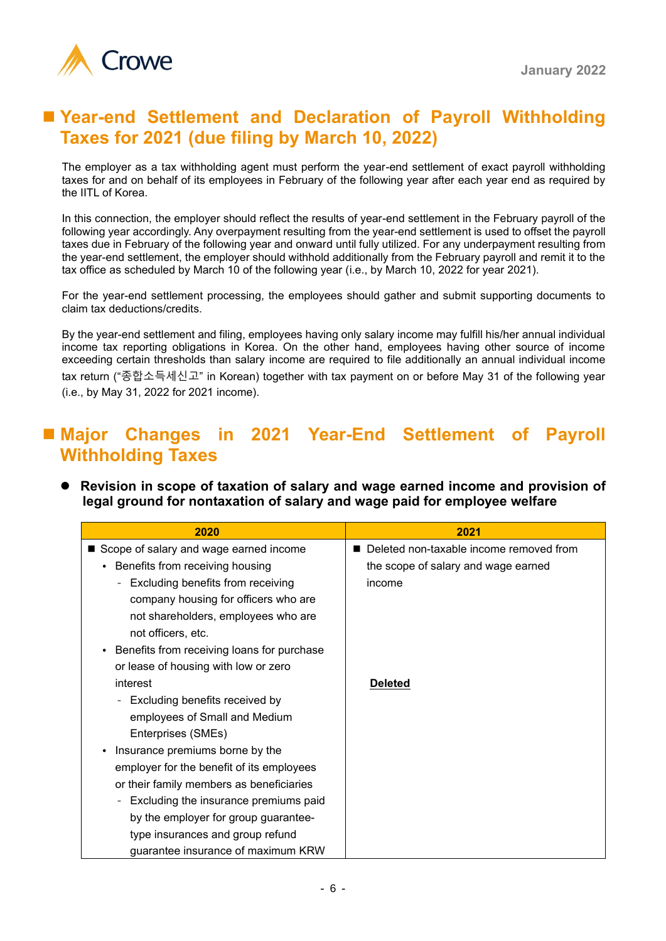

# ■ Year-end Settlement and Declaration of Payroll Withholding **Taxes for 2021 (due filing by March 10, 2022)**

The employer as a tax withholding agent must perform the year-end settlement of exact payroll withholding taxes for and on behalf of its employees in February of the following year after each year end as required by the IITL of Korea.

In this connection, the employer should reflect the results of year-end settlement in the February payroll of the following year accordingly. Any overpayment resulting from the year-end settlement is used to offset the payroll taxes due in February of the following year and onward until fully utilized. For any underpayment resulting from the year-end settlement, the employer should withhold additionally from the February payroll and remit it to the tax office as scheduled by March 10 of the following year (i.e., by March 10, 2022 for year 2021).

For the year-end settlement processing, the employees should gather and submit supporting documents to claim tax deductions/credits.

By the year-end settlement and filing, employees having only salary income may fulfill his/her annual individual income tax reporting obligations in Korea. On the other hand, employees having other source of income exceeding certain thresholds than salary income are required to file additionally an annual individual income tax return ("종합소득세신고" in Korean) together with tax payment on or before May 31 of the following year (i.e., by May 31, 2022 for 2021 income).

# ■ Major Changes in 2021 Year-End Settlement of Payroll **Withholding Taxes**

⚫ **Revision in scope of taxation of salary and wage earned income and provision of legal ground for nontaxation of salary and wage paid for employee welfare**

| 2020                                         | 2021                                    |
|----------------------------------------------|-----------------------------------------|
| Scope of salary and wage earned income       | Deleted non-taxable income removed from |
| Benefits from receiving housing              | the scope of salary and wage earned     |
| Excluding benefits from receiving            | income                                  |
| company housing for officers who are         |                                         |
| not shareholders, employees who are          |                                         |
| not officers, etc.                           |                                         |
| • Benefits from receiving loans for purchase |                                         |
| or lease of housing with low or zero         |                                         |
| interest                                     | <b>Deleted</b>                          |
| Excluding benefits received by               |                                         |
| employees of Small and Medium                |                                         |
| Enterprises (SMEs)                           |                                         |
| Insurance premiums borne by the              |                                         |
| employer for the benefit of its employees    |                                         |
| or their family members as beneficiaries     |                                         |
| Excluding the insurance premiums paid        |                                         |
| by the employer for group guarantee-         |                                         |
| type insurances and group refund             |                                         |
| quarantee insurance of maximum KRW           |                                         |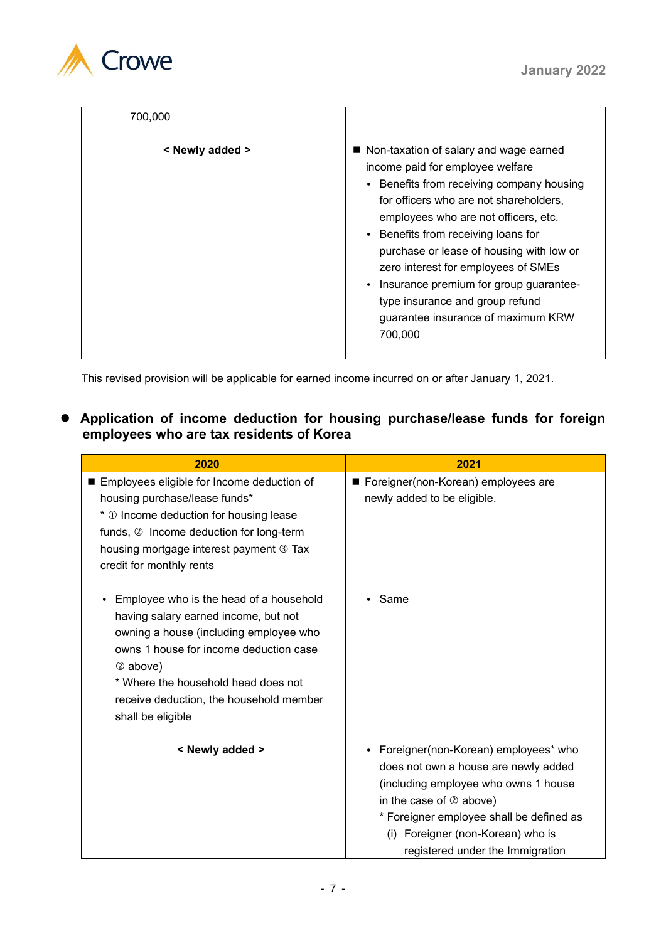

| 700,000         |                                                                                                                                                                                                                                                                                                                                                                                                                                                                     |
|-----------------|---------------------------------------------------------------------------------------------------------------------------------------------------------------------------------------------------------------------------------------------------------------------------------------------------------------------------------------------------------------------------------------------------------------------------------------------------------------------|
| < Newly added > | ■ Non-taxation of salary and wage earned<br>income paid for employee welfare<br>• Benefits from receiving company housing<br>for officers who are not shareholders,<br>employees who are not officers, etc.<br>• Benefits from receiving loans for<br>purchase or lease of housing with low or<br>zero interest for employees of SMEs<br>Insurance premium for group guarantee-<br>type insurance and group refund<br>guarantee insurance of maximum KRW<br>700,000 |

This revised provision will be applicable for earned income incurred on or after January 1, 2021.

## ⚫ **Application of income deduction for housing purchase/lease funds for foreign employees who are tax residents of Korea**

| 2020                                                                                                                                                                                                                                                                                   | 2021                                                                                                                                                                                                                                                                     |
|----------------------------------------------------------------------------------------------------------------------------------------------------------------------------------------------------------------------------------------------------------------------------------------|--------------------------------------------------------------------------------------------------------------------------------------------------------------------------------------------------------------------------------------------------------------------------|
| Employees eligible for Income deduction of<br>housing purchase/lease funds*<br>* 1 Income deduction for housing lease<br>funds, 2 Income deduction for long-term<br>housing mortgage interest payment 3 Tax<br>credit for monthly rents                                                | ■ Foreigner(non-Korean) employees are<br>newly added to be eligible.                                                                                                                                                                                                     |
| Employee who is the head of a household<br>having salary earned income, but not<br>owning a house (including employee who<br>owns 1 house for income deduction case<br>2 above)<br>* Where the household head does not<br>receive deduction, the household member<br>shall be eligible | Same                                                                                                                                                                                                                                                                     |
| < Newly added >                                                                                                                                                                                                                                                                        | • Foreigner(non-Korean) employees* who<br>does not own a house are newly added<br>(including employee who owns 1 house<br>in the case of $@$ above)<br>* Foreigner employee shall be defined as<br>(i) Foreigner (non-Korean) who is<br>registered under the Immigration |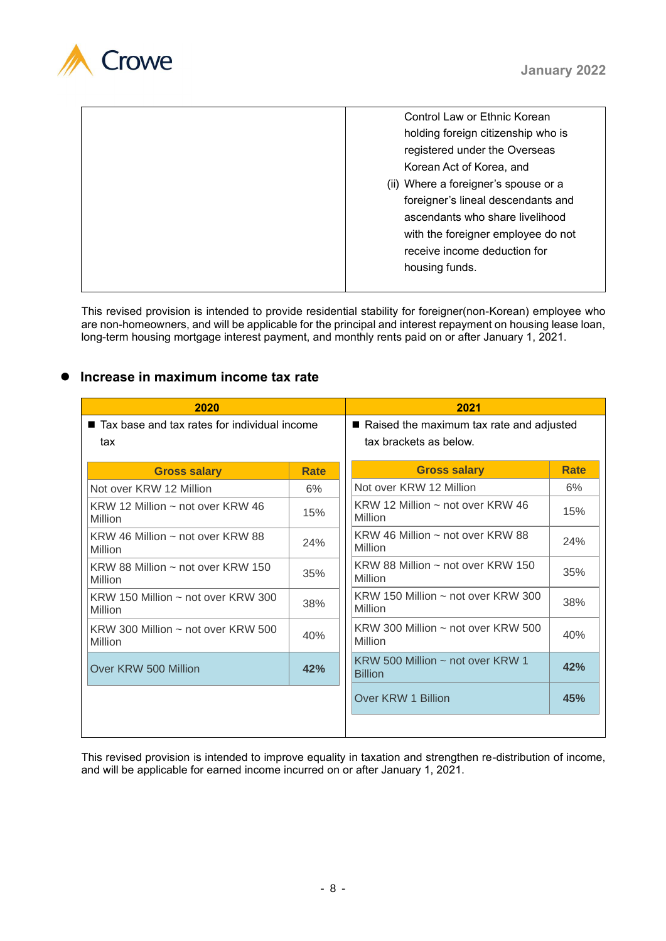

| Control Law or Ethnic Korean         |
|--------------------------------------|
| holding foreign citizenship who is   |
| registered under the Overseas        |
| Korean Act of Korea, and             |
| (ii) Where a foreigner's spouse or a |
| foreigner's lineal descendants and   |
| ascendants who share livelihood      |
| with the foreigner employee do not   |
| receive income deduction for         |
| housing funds.                       |
|                                      |

This revised provision is intended to provide residential stability for foreigner(non-Korean) employee who are non-homeowners, and will be applicable for the principal and interest repayment on housing lease loan, long-term housing mortgage interest payment, and monthly rents paid on or after January 1, 2021.

### ⚫ **Increase in maximum income tax rate**

| 2020                                                      |      | 2021                                                                 |             |  |
|-----------------------------------------------------------|------|----------------------------------------------------------------------|-------------|--|
| ■ Tax base and tax rates for individual income<br>tax     |      | ■ Raised the maximum tax rate and adjusted<br>tax brackets as below. |             |  |
| <b>Gross salary</b>                                       | Rate | <b>Gross salary</b>                                                  | <b>Rate</b> |  |
| Not over KRW 12 Million                                   | 6%   | Not over KRW 12 Million                                              | 6%          |  |
| KRW 12 Million $\sim$ not over KRW 46<br>Million          | 15%  | KRW 12 Million $\sim$ not over KRW 46<br>Million                     | 15%         |  |
| KRW 46 Million $\sim$ not over KRW 88<br>Million          | 24%  | KRW 46 Million $\sim$ not over KRW 88<br>Million                     | 24%         |  |
| KRW 88 Million $\sim$ not over KRW 150<br>Million         | 35%  | KRW 88 Million $\sim$ not over KRW 150<br>Million                    | 35%         |  |
| KRW 150 Million $\sim$ not over KRW 300<br><b>Million</b> | 38%  | KRW 150 Million $\sim$ not over KRW 300<br>Million                   | 38%         |  |
| KRW 300 Million $\sim$ not over KRW 500<br>Million        | 40%  | KRW 300 Million $\sim$ not over KRW 500<br>Million                   | 40%         |  |
| Over KRW 500 Million                                      | 42%  | KRW 500 Million $\sim$ not over KRW 1<br><b>Billion</b>              | 42%         |  |
|                                                           |      | Over KRW 1 Billion                                                   | 45%         |  |
|                                                           |      |                                                                      |             |  |

This revised provision is intended to improve equality in taxation and strengthen re-distribution of income, and will be applicable for earned income incurred on or after January 1, 2021.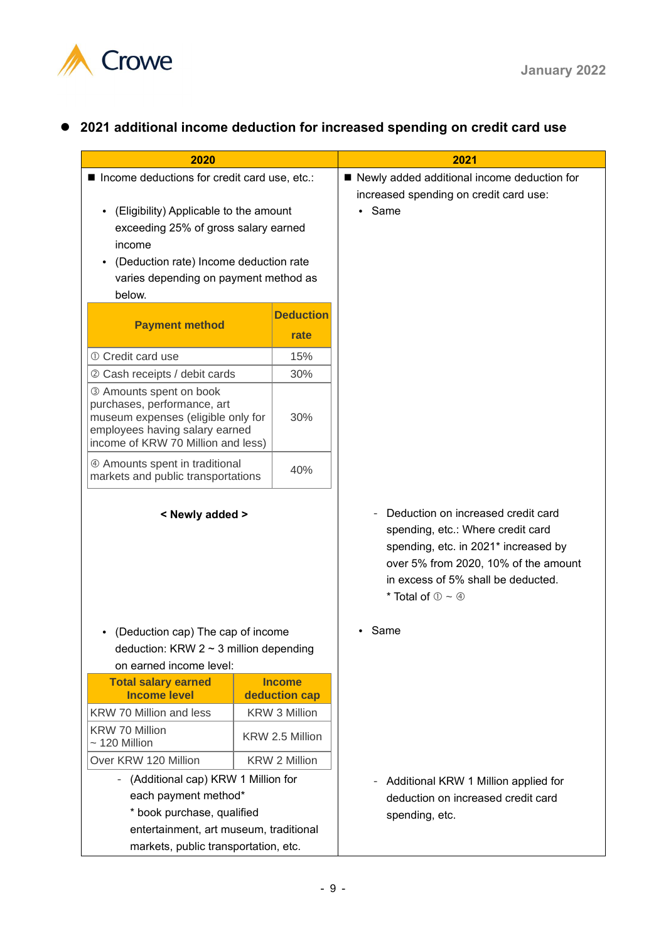

# ⚫ **2021 additional income deduction for increased spending on credit card use**

| 2020                                                                                                                                                                 |                                | 2021                                                                                                                                                                                                                                     |
|----------------------------------------------------------------------------------------------------------------------------------------------------------------------|--------------------------------|------------------------------------------------------------------------------------------------------------------------------------------------------------------------------------------------------------------------------------------|
| Income deductions for credit card use, etc.:                                                                                                                         |                                | ■ Newly added additional income deduction for<br>increased spending on credit card use:                                                                                                                                                  |
| (Eligibility) Applicable to the amount<br>$\bullet$<br>exceeding 25% of gross salary earned<br>income                                                                |                                | Same                                                                                                                                                                                                                                     |
| (Deduction rate) Income deduction rate<br>$\bullet$                                                                                                                  |                                |                                                                                                                                                                                                                                          |
| varies depending on payment method as                                                                                                                                |                                |                                                                                                                                                                                                                                          |
| below.                                                                                                                                                               |                                |                                                                                                                                                                                                                                          |
|                                                                                                                                                                      | <b>Deduction</b>               |                                                                                                                                                                                                                                          |
| <b>Payment method</b>                                                                                                                                                | rate                           |                                                                                                                                                                                                                                          |
| 10 Credit card use                                                                                                                                                   | 15%                            |                                                                                                                                                                                                                                          |
| 2 Cash receipts / debit cards                                                                                                                                        | 30%                            |                                                                                                                                                                                                                                          |
| 3 Amounts spent on book<br>purchases, performance, art<br>museum expenses (eligible only for<br>employees having salary earned<br>income of KRW 70 Million and less) | 30%                            |                                                                                                                                                                                                                                          |
| 4 Amounts spent in traditional<br>markets and public transportations                                                                                                 | 40%                            |                                                                                                                                                                                                                                          |
| < Newly added >                                                                                                                                                      |                                | Deduction on increased credit card<br>spending, etc.: Where credit card<br>spending, etc. in 2021* increased by<br>over 5% from 2020, 10% of the amount<br>in excess of 5% shall be deducted.<br>* Total of $\mathbb{O} \sim \mathbb{O}$ |
| (Deduction cap) The cap of income<br>deduction: KRW $2 \sim 3$ million depending<br>on earned income level:                                                          |                                | Same                                                                                                                                                                                                                                     |
| <b>Total salary earned</b><br><b>Income level</b>                                                                                                                    | <b>Income</b><br>deduction cap |                                                                                                                                                                                                                                          |
| KRW 70 Million and less                                                                                                                                              | <b>KRW 3 Million</b>           |                                                                                                                                                                                                                                          |
| <b>KRW 70 Million</b><br>$\sim$ 120 Million                                                                                                                          | KRW 2.5 Million                |                                                                                                                                                                                                                                          |
| Over KRW 120 Million                                                                                                                                                 | <b>KRW 2 Million</b>           |                                                                                                                                                                                                                                          |
| (Additional cap) KRW 1 Million for                                                                                                                                   |                                | Additional KRW 1 Million applied for<br>$\qquad \qquad -$                                                                                                                                                                                |
| each payment method*                                                                                                                                                 |                                | deduction on increased credit card                                                                                                                                                                                                       |
| * book purchase, qualified                                                                                                                                           |                                | spending, etc.                                                                                                                                                                                                                           |
| entertainment, art museum, traditional                                                                                                                               |                                |                                                                                                                                                                                                                                          |
| markets, public transportation, etc.                                                                                                                                 |                                |                                                                                                                                                                                                                                          |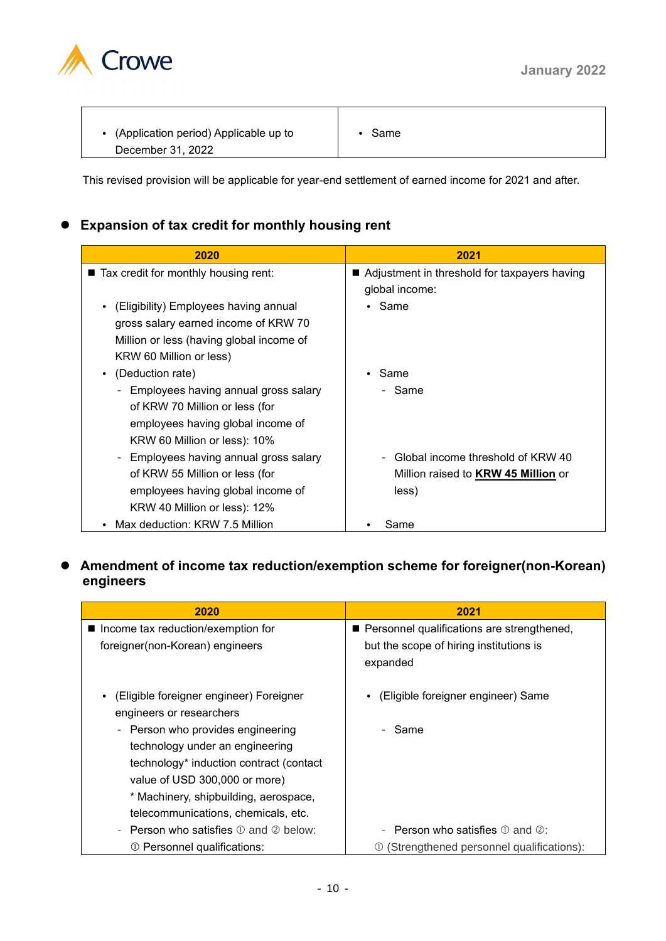

| • (Application period) Applicable up to | Same |  |
|-----------------------------------------|------|--|
| December 31, 2022                       |      |  |

This revised provision will be applicable for year-end settlement of earned income for 2021 and after.

# ⚫ **Expansion of tax credit for monthly housing rent**

| 2020                                                                                                                                                 | 2021                                                                                     |
|------------------------------------------------------------------------------------------------------------------------------------------------------|------------------------------------------------------------------------------------------|
| ■ Tax credit for monthly housing rent:                                                                                                               | ■ Adjustment in threshold for taxpayers having<br>global income:                         |
| (Eligibility) Employees having annual<br>gross salary earned income of KRW 70<br>Million or less (having global income of<br>KRW 60 Million or less) | • Same                                                                                   |
| (Deduction rate)<br>$\bullet$<br>Employees having annual gross salary                                                                                | Same<br>- Same                                                                           |
| of KRW 70 Million or less (for<br>employees having global income of<br>KRW 60 Million or less): 10%                                                  |                                                                                          |
| Employees having annual gross salary<br>of KRW 55 Million or less (for<br>employees having global income of<br>KRW 40 Million or less): 12%          | Global income threshold of KRW 40<br>Million raised to <b>KRW 45 Million</b> or<br>less) |
| Max deduction: KRW 7.5 Million                                                                                                                       | Same                                                                                     |

# ⚫ **Amendment of income tax reduction/exemption scheme for foreigner(non-Korean) engineers**

| 2020                                                      | 2021                                                        |
|-----------------------------------------------------------|-------------------------------------------------------------|
| ■ Income tax reduction/exemption for                      | Personnel qualifications are strengthened,                  |
| foreigner(non-Korean) engineers                           | but the scope of hiring institutions is                     |
|                                                           | expanded                                                    |
| (Eligible foreigner engineer) Foreigner                   | (Eligible foreigner engineer) Same                          |
| engineers or researchers                                  |                                                             |
| - Person who provides engineering                         | - Same                                                      |
| technology under an engineering                           |                                                             |
| technology* induction contract (contact                   |                                                             |
| value of USD 300,000 or more)                             |                                                             |
| * Machinery, shipbuilding, aerospace,                     |                                                             |
| telecommunications, chemicals, etc.                       |                                                             |
| - Person who satisfies $\mathbb D$ and $\mathbb Q$ below: | <b>Person who satisfies</b> $\mathbb{O}$ and $\mathbb{Q}$ : |
| ① Personnel qualifications:                               | (Strengthened personnel qualifications):                    |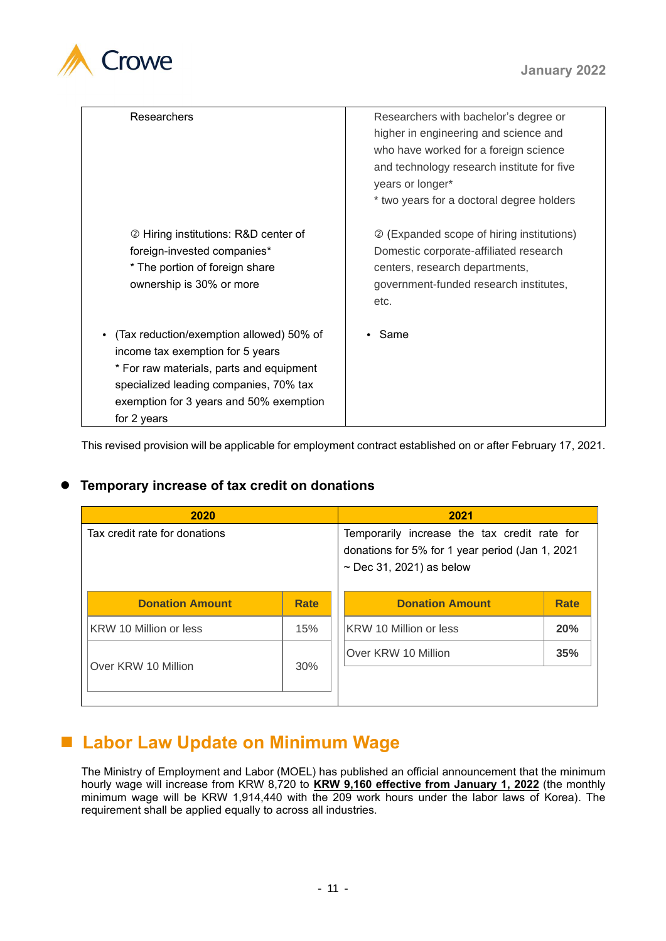

| Researchers                                                                                                                                                                                                                  | Researchers with bachelor's degree or<br>higher in engineering and science and<br>who have worked for a foreign science<br>and technology research institute for five<br>years or longer*<br>* two years for a doctoral degree holders |
|------------------------------------------------------------------------------------------------------------------------------------------------------------------------------------------------------------------------------|----------------------------------------------------------------------------------------------------------------------------------------------------------------------------------------------------------------------------------------|
| 2 Hiring institutions: R&D center of<br>foreign-invested companies*<br>* The portion of foreign share<br>ownership is 30% or more                                                                                            | 2 (Expanded scope of hiring institutions)<br>Domestic corporate-affiliated research<br>centers, research departments,<br>government-funded research institutes,<br>etc.                                                                |
| (Tax reduction/exemption allowed) 50% of<br>income tax exemption for 5 years<br>* For raw materials, parts and equipment<br>specialized leading companies, 70% tax<br>exemption for 3 years and 50% exemption<br>for 2 years | Same                                                                                                                                                                                                                                   |

This revised provision will be applicable for employment contract established on or after February 17, 2021.

# ⚫ **Temporary increase of tax credit on donations**

| 2020                          |             | 2021                                                                                                                             |             |
|-------------------------------|-------------|----------------------------------------------------------------------------------------------------------------------------------|-------------|
| Tax credit rate for donations |             | Temporarily increase the tax credit rate for<br>donations for 5% for 1 year period (Jan 1, 2021<br>$\sim$ Dec 31, 2021) as below |             |
| <b>Donation Amount</b>        | <b>Rate</b> | <b>Donation Amount</b>                                                                                                           | <b>Rate</b> |
| KRW 10 Million or less        | 15%         | KRW 10 Million or less                                                                                                           | 20%         |
| Over KRW 10 Million           | 30%         | Over KRW 10 Million                                                                                                              | 35%         |

# ■ Labor Law Update on Minimum Wage

The Ministry of Employment and Labor (MOEL) has published an official announcement that the minimum hourly wage will increase from KRW 8,720 to **KRW 9,160 effective from January 1, 2022** (the monthly minimum wage will be KRW 1,914,440 with the 209 work hours under the labor laws of Korea). The requirement shall be applied equally to across all industries.